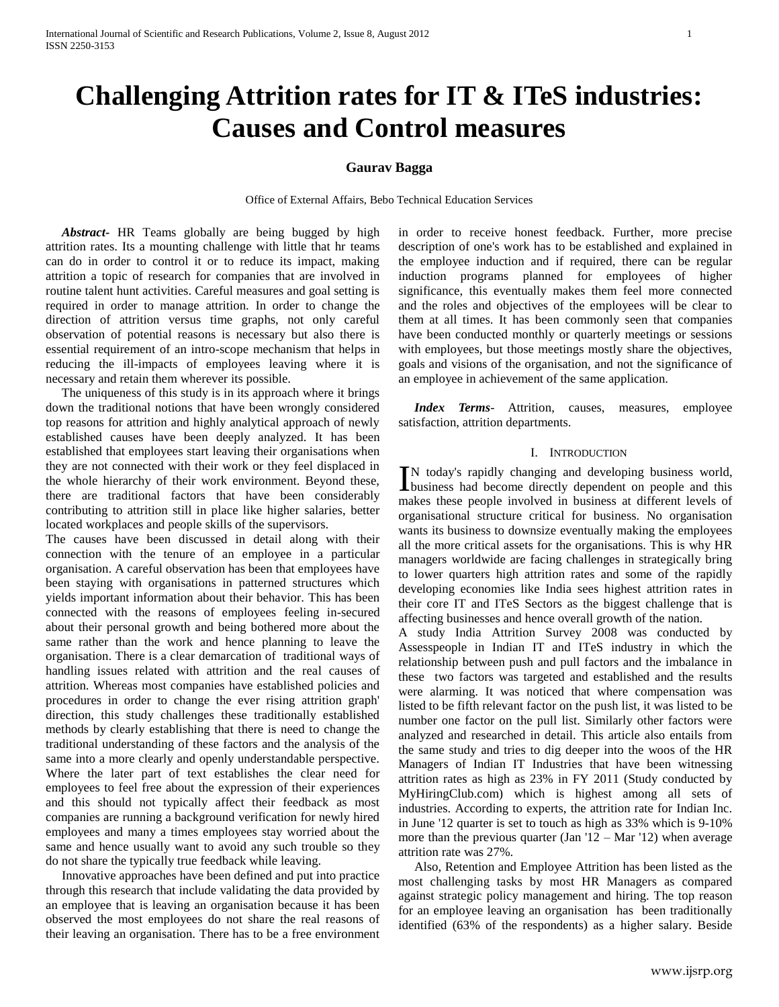# **Challenging Attrition rates for IT & ITeS industries: Causes and Control measures**

# **Gaurav Bagga**

Office of External Affairs, Bebo Technical Education Services

 *Abstract***-** HR Teams globally are being bugged by high attrition rates. Its a mounting challenge with little that hr teams can do in order to control it or to reduce its impact, making attrition a topic of research for companies that are involved in routine talent hunt activities. Careful measures and goal setting is required in order to manage attrition. In order to change the direction of attrition versus time graphs, not only careful observation of potential reasons is necessary but also there is essential requirement of an intro-scope mechanism that helps in reducing the ill-impacts of employees leaving where it is necessary and retain them wherever its possible.

 The uniqueness of this study is in its approach where it brings down the traditional notions that have been wrongly considered top reasons for attrition and highly analytical approach of newly established causes have been deeply analyzed. It has been established that employees start leaving their organisations when they are not connected with their work or they feel displaced in the whole hierarchy of their work environment. Beyond these, there are traditional factors that have been considerably contributing to attrition still in place like higher salaries, better located workplaces and people skills of the supervisors.

The causes have been discussed in detail along with their connection with the tenure of an employee in a particular organisation. A careful observation has been that employees have been staying with organisations in patterned structures which yields important information about their behavior. This has been connected with the reasons of employees feeling in-secured about their personal growth and being bothered more about the same rather than the work and hence planning to leave the organisation. There is a clear demarcation of traditional ways of handling issues related with attrition and the real causes of attrition. Whereas most companies have established policies and procedures in order to change the ever rising attrition graph' direction, this study challenges these traditionally established methods by clearly establishing that there is need to change the traditional understanding of these factors and the analysis of the same into a more clearly and openly understandable perspective. Where the later part of text establishes the clear need for employees to feel free about the expression of their experiences and this should not typically affect their feedback as most companies are running a background verification for newly hired employees and many a times employees stay worried about the same and hence usually want to avoid any such trouble so they do not share the typically true feedback while leaving.

 Innovative approaches have been defined and put into practice through this research that include validating the data provided by an employee that is leaving an organisation because it has been observed the most employees do not share the real reasons of their leaving an organisation. There has to be a free environment

in order to receive honest feedback. Further, more precise description of one's work has to be established and explained in the employee induction and if required, there can be regular induction programs planned for employees of higher significance, this eventually makes them feel more connected and the roles and objectives of the employees will be clear to them at all times. It has been commonly seen that companies have been conducted monthly or quarterly meetings or sessions with employees, but those meetings mostly share the objectives, goals and visions of the organisation, and not the significance of an employee in achievement of the same application.

 *Index Terms*- Attrition, causes, measures, employee satisfaction, attrition departments.

## I. INTRODUCTION

N today's rapidly changing and developing business world, IN today's rapidly changing and developing business world,<br>business had become directly dependent on people and this makes these people involved in business at different levels of organisational structure critical for business. No organisation wants its business to downsize eventually making the employees all the more critical assets for the organisations. This is why HR managers worldwide are facing challenges in strategically bring to lower quarters high attrition rates and some of the rapidly developing economies like India sees highest attrition rates in their core IT and ITeS Sectors as the biggest challenge that is affecting businesses and hence overall growth of the nation.

A study India Attrition Survey 2008 was conducted by Assesspeople in Indian IT and ITeS industry in which the relationship between push and pull factors and the imbalance in these two factors was targeted and established and the results were alarming. It was noticed that where compensation was listed to be fifth relevant factor on the push list, it was listed to be number one factor on the pull list. Similarly other factors were analyzed and researched in detail. This article also entails from the same study and tries to dig deeper into the woos of the HR Managers of Indian IT Industries that have been witnessing attrition rates as high as 23% in FY 2011 (Study conducted by MyHiringClub.com) which is highest among all sets of industries. According to experts, the attrition rate for Indian Inc. in June '12 quarter is set to touch as high as 33% which is 9-10% more than the previous quarter (Jan  $12 -$ Mar  $12$ ) when average attrition rate was 27%.

 Also, Retention and Employee Attrition has been listed as the most challenging tasks by most HR Managers as compared against strategic policy management and hiring. The top reason for an employee leaving an organisation has been traditionally identified (63% of the respondents) as a higher salary. Beside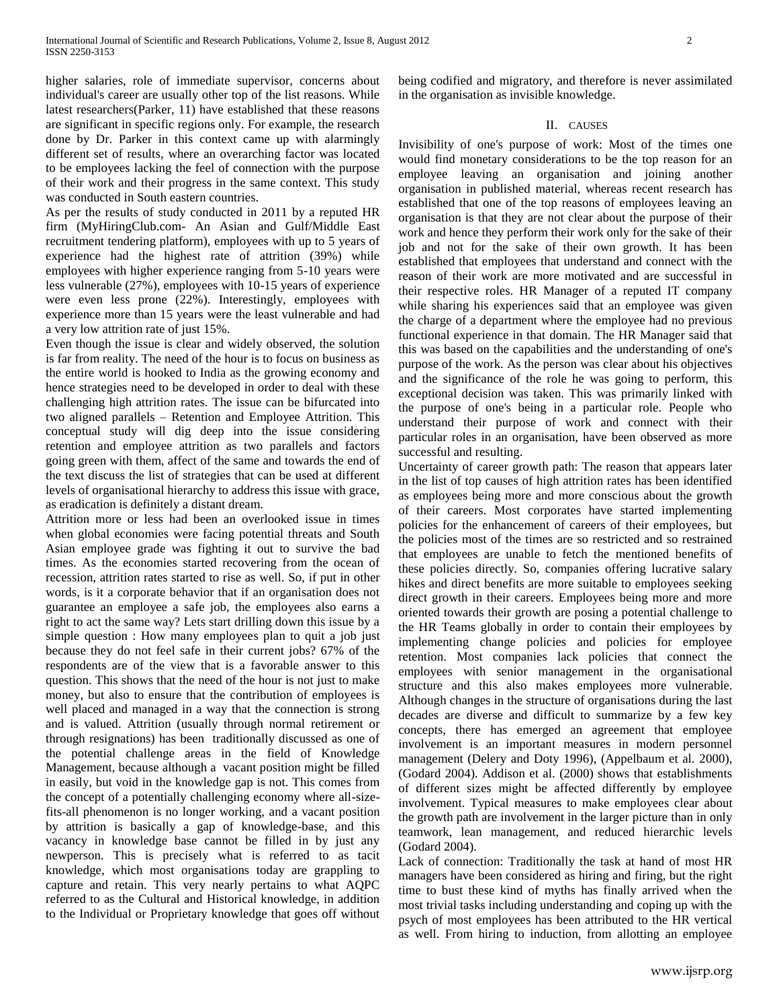higher salaries, role of immediate supervisor, concerns about individual's career are usually other top of the list reasons. While latest researchers(Parker, 11) have established that these reasons are significant in specific regions only. For example, the research done by Dr. Parker in this context came up with alarmingly different set of results, where an overarching factor was located to be employees lacking the feel of connection with the purpose of their work and their progress in the same context. This study was conducted in South eastern countries.

As per the results of study conducted in 2011 by a reputed HR firm (MyHiringClub.com- An Asian and Gulf/Middle East recruitment tendering platform), employees with up to 5 years of experience had the highest rate of attrition (39%) while employees with higher experience ranging from 5-10 years were less vulnerable (27%), employees with 10-15 years of experience were even less prone (22%). Interestingly, employees with experience more than 15 years were the least vulnerable and had a very low attrition rate of just 15%.

Even though the issue is clear and widely observed, the solution is far from reality. The need of the hour is to focus on business as the entire world is hooked to India as the growing economy and hence strategies need to be developed in order to deal with these challenging high attrition rates. The issue can be bifurcated into two aligned parallels – Retention and Employee Attrition. This conceptual study will dig deep into the issue considering retention and employee attrition as two parallels and factors going green with them, affect of the same and towards the end of the text discuss the list of strategies that can be used at different levels of organisational hierarchy to address this issue with grace, as eradication is definitely a distant dream.

Attrition more or less had been an overlooked issue in times when global economies were facing potential threats and South Asian employee grade was fighting it out to survive the bad times. As the economies started recovering from the ocean of recession, attrition rates started to rise as well. So, if put in other words, is it a corporate behavior that if an organisation does not guarantee an employee a safe job, the employees also earns a right to act the same way? Lets start drilling down this issue by a simple question : How many employees plan to quit a job just because they do not feel safe in their current jobs? 67% of the respondents are of the view that is a favorable answer to this question. This shows that the need of the hour is not just to make money, but also to ensure that the contribution of employees is well placed and managed in a way that the connection is strong and is valued. Attrition (usually through normal retirement or through resignations) has been traditionally discussed as one of the potential challenge areas in the field of Knowledge Management, because although a vacant position might be filled in easily, but void in the knowledge gap is not. This comes from the concept of a potentially challenging economy where all-sizefits-all phenomenon is no longer working, and a vacant position by attrition is basically a gap of knowledge-base, and this vacancy in knowledge base cannot be filled in by just any newperson. This is precisely what is referred to as tacit knowledge, which most organisations today are grappling to capture and retain. This very nearly pertains to what AQPC referred to as the Cultural and Historical knowledge, in addition to the Individual or Proprietary knowledge that goes off without being codified and migratory, and therefore is never assimilated in the organisation as invisible knowledge.

## II. CAUSES

Invisibility of one's purpose of work: Most of the times one would find monetary considerations to be the top reason for an employee leaving an organisation and joining another organisation in published material, whereas recent research has established that one of the top reasons of employees leaving an organisation is that they are not clear about the purpose of their work and hence they perform their work only for the sake of their job and not for the sake of their own growth. It has been established that employees that understand and connect with the reason of their work are more motivated and are successful in their respective roles. HR Manager of a reputed IT company while sharing his experiences said that an employee was given the charge of a department where the employee had no previous functional experience in that domain. The HR Manager said that this was based on the capabilities and the understanding of one's purpose of the work. As the person was clear about his objectives and the significance of the role he was going to perform, this exceptional decision was taken. This was primarily linked with the purpose of one's being in a particular role. People who understand their purpose of work and connect with their particular roles in an organisation, have been observed as more successful and resulting.

Uncertainty of career growth path: The reason that appears later in the list of top causes of high attrition rates has been identified as employees being more and more conscious about the growth of their careers. Most corporates have started implementing policies for the enhancement of careers of their employees, but the policies most of the times are so restricted and so restrained that employees are unable to fetch the mentioned benefits of these policies directly. So, companies offering lucrative salary hikes and direct benefits are more suitable to employees seeking direct growth in their careers. Employees being more and more oriented towards their growth are posing a potential challenge to the HR Teams globally in order to contain their employees by implementing change policies and policies for employee retention. Most companies lack policies that connect the employees with senior management in the organisational structure and this also makes employees more vulnerable. Although changes in the structure of organisations during the last decades are diverse and difficult to summarize by a few key concepts, there has emerged an agreement that employee involvement is an important measures in modern personnel management (Delery and Doty 1996), (Appelbaum et al. 2000), (Godard 2004). Addison et al. (2000) shows that establishments of different sizes might be affected differently by employee involvement. Typical measures to make employees clear about the growth path are involvement in the larger picture than in only teamwork, lean management, and reduced hierarchic levels (Godard 2004).

Lack of connection: Traditionally the task at hand of most HR managers have been considered as hiring and firing, but the right time to bust these kind of myths has finally arrived when the most trivial tasks including understanding and coping up with the psych of most employees has been attributed to the HR vertical as well. From hiring to induction, from allotting an employee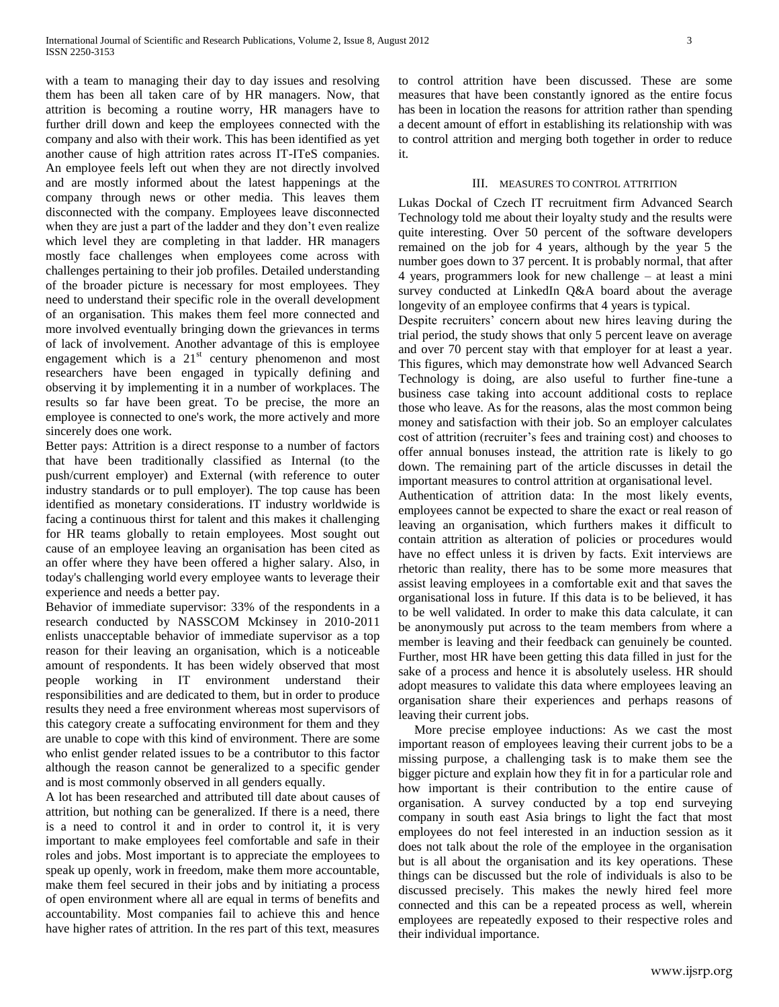with a team to managing their day to day issues and resolving them has been all taken care of by HR managers. Now, that attrition is becoming a routine worry, HR managers have to further drill down and keep the employees connected with the company and also with their work. This has been identified as yet another cause of high attrition rates across IT-ITeS companies. An employee feels left out when they are not directly involved and are mostly informed about the latest happenings at the company through news or other media. This leaves them disconnected with the company. Employees leave disconnected when they are just a part of the ladder and they don't even realize which level they are completing in that ladder. HR managers mostly face challenges when employees come across with challenges pertaining to their job profiles. Detailed understanding of the broader picture is necessary for most employees. They need to understand their specific role in the overall development of an organisation. This makes them feel more connected and more involved eventually bringing down the grievances in terms of lack of involvement. Another advantage of this is employee engagement which is a  $21<sup>st</sup>$  century phenomenon and most researchers have been engaged in typically defining and observing it by implementing it in a number of workplaces. The results so far have been great. To be precise, the more an employee is connected to one's work, the more actively and more sincerely does one work.

Better pays: Attrition is a direct response to a number of factors that have been traditionally classified as Internal (to the push/current employer) and External (with reference to outer industry standards or to pull employer). The top cause has been identified as monetary considerations. IT industry worldwide is facing a continuous thirst for talent and this makes it challenging for HR teams globally to retain employees. Most sought out cause of an employee leaving an organisation has been cited as an offer where they have been offered a higher salary. Also, in today's challenging world every employee wants to leverage their experience and needs a better pay.

Behavior of immediate supervisor: 33% of the respondents in a research conducted by NASSCOM Mckinsey in 2010-2011 enlists unacceptable behavior of immediate supervisor as a top reason for their leaving an organisation, which is a noticeable amount of respondents. It has been widely observed that most people working in IT environment understand their responsibilities and are dedicated to them, but in order to produce results they need a free environment whereas most supervisors of this category create a suffocating environment for them and they are unable to cope with this kind of environment. There are some who enlist gender related issues to be a contributor to this factor although the reason cannot be generalized to a specific gender and is most commonly observed in all genders equally.

A lot has been researched and attributed till date about causes of attrition, but nothing can be generalized. If there is a need, there is a need to control it and in order to control it, it is very important to make employees feel comfortable and safe in their roles and jobs. Most important is to appreciate the employees to speak up openly, work in freedom, make them more accountable, make them feel secured in their jobs and by initiating a process of open environment where all are equal in terms of benefits and accountability. Most companies fail to achieve this and hence have higher rates of attrition. In the res part of this text, measures

to control attrition have been discussed. These are some measures that have been constantly ignored as the entire focus has been in location the reasons for attrition rather than spending a decent amount of effort in establishing its relationship with was to control attrition and merging both together in order to reduce it.

## III. MEASURES TO CONTROL ATTRITION

Lukas Dockal of Czech IT recruitment firm Advanced Search Technology told me about their loyalty study and the results were quite interesting. Over 50 percent of the software developers remained on the job for 4 years, although by the year 5 the number goes down to 37 percent. It is probably normal, that after 4 years, programmers look for new challenge – at least a mini survey conducted at LinkedIn Q&A board about the average longevity of an employee confirms that 4 years is typical.

Despite recruiters' concern about new hires leaving during the trial period, the study shows that only 5 percent leave on average and over 70 percent stay with that employer for at least a year. This figures, which may demonstrate how well Advanced Search Technology is doing, are also useful to further fine-tune a business case taking into account additional costs to replace those who leave. As for the reasons, alas the most common being money and satisfaction with their job. So an employer calculates cost of attrition (recruiter's fees and training cost) and chooses to offer annual bonuses instead, the attrition rate is likely to go down. The remaining part of the article discusses in detail the important measures to control attrition at organisational level.

Authentication of attrition data: In the most likely events, employees cannot be expected to share the exact or real reason of leaving an organisation, which furthers makes it difficult to contain attrition as alteration of policies or procedures would have no effect unless it is driven by facts. Exit interviews are rhetoric than reality, there has to be some more measures that assist leaving employees in a comfortable exit and that saves the organisational loss in future. If this data is to be believed, it has to be well validated. In order to make this data calculate, it can be anonymously put across to the team members from where a member is leaving and their feedback can genuinely be counted. Further, most HR have been getting this data filled in just for the sake of a process and hence it is absolutely useless. HR should adopt measures to validate this data where employees leaving an organisation share their experiences and perhaps reasons of leaving their current jobs.

 More precise employee inductions: As we cast the most important reason of employees leaving their current jobs to be a missing purpose, a challenging task is to make them see the bigger picture and explain how they fit in for a particular role and how important is their contribution to the entire cause of organisation. A survey conducted by a top end surveying company in south east Asia brings to light the fact that most employees do not feel interested in an induction session as it does not talk about the role of the employee in the organisation but is all about the organisation and its key operations. These things can be discussed but the role of individuals is also to be discussed precisely. This makes the newly hired feel more connected and this can be a repeated process as well, wherein employees are repeatedly exposed to their respective roles and their individual importance.